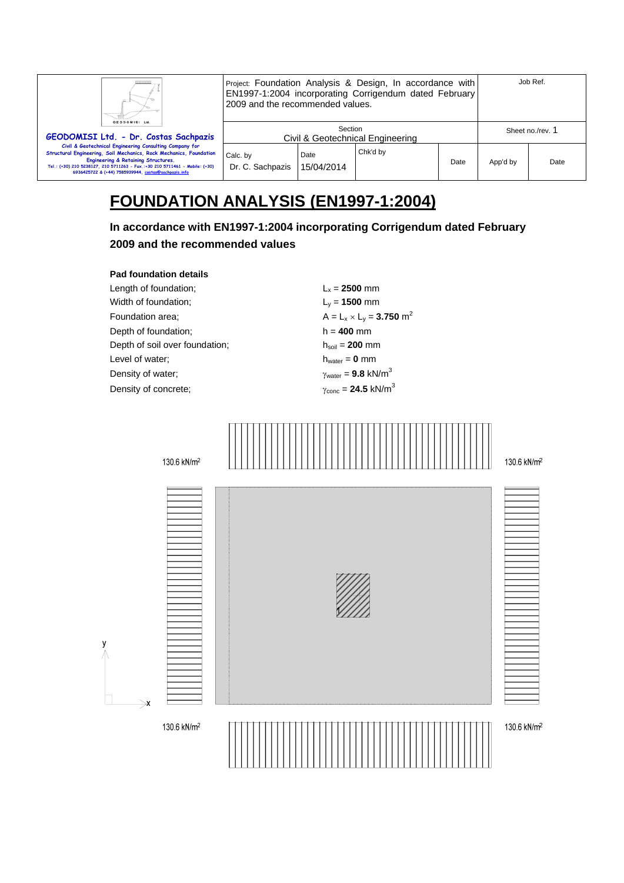| ш.<br>GEODOMISI Ltd.                                                                                                                                                                                                                                                                                        |                                             | Project: Foundation Analysis & Design, In accordance with<br>EN1997-1:2004 incorporating Corrigendum dated February<br>2009 and the recommended values. |          |                  |          | Job Ref. |
|-------------------------------------------------------------------------------------------------------------------------------------------------------------------------------------------------------------------------------------------------------------------------------------------------------------|---------------------------------------------|---------------------------------------------------------------------------------------------------------------------------------------------------------|----------|------------------|----------|----------|
| GEODOMISI Ltd. - Dr. Costas Sachpazis                                                                                                                                                                                                                                                                       | Section<br>Civil & Geotechnical Engineering |                                                                                                                                                         |          | Sheet no./rev. 1 |          |          |
| Civil & Geotechnical Engineering Consulting Company for<br>Structural Engineering, Soil Mechanics, Rock Mechanics, Foundation<br>Engineering & Retaining Structures.<br>Tel.: (+30) 210 5238127, 210 5711263 - Fax.:+30 210 5711461 - Mobile: (+30)<br>6936425722 & (+44) 7585939944, costas@sachpazis.info | Calc. by<br>Dr. C. Sachpazis                | Date<br>15/04/2014                                                                                                                                      | Chk'd by | Date             | App'd by | Date     |

# **FOUNDATION ANALYSIS (EN1997-1:2004)**

**In accordance with EN1997-1:2004 incorporating Corrigendum dated February 2009 and the recommended values** 

#### **Pad foundation details**

Length of foundation;  $L_x = 2500$  mm Width of foundation; Ly = **1500** mm Foundation area;  $A = L_x \times L_y = 3.750 \text{ m}^2$ Depth of foundation; h = **400** mm Depth of soil over foundation;  $h_{\text{sol}} = 200 \text{ mm}$ Level of water;  $h_{water} = 0$  mm Density of water;  $\gamma_{\text{water}} = 9.8 \text{ kN/m}^3$ Density of concrete;  $\gamma_{\text{conc}} = 24.5 \text{ kN/m}^3$ 

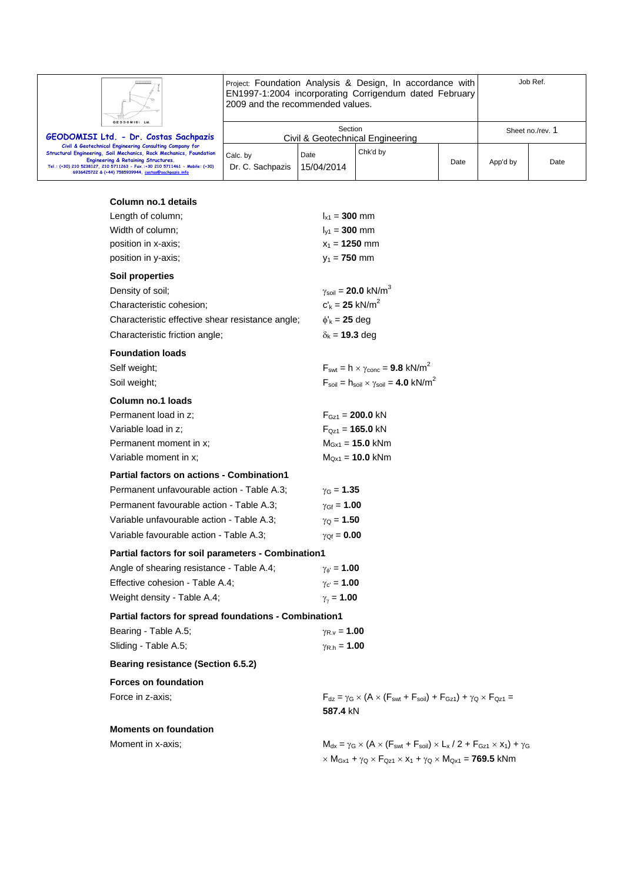| GEODOMISI L |
|-------------|

Project: Foundation Analysis & Design, In accordance with EN1997-1:2004 incorporating Corrigendum dated February 2009 and the recommended values.

Job Ref.

| GEODOMISI Ltd.<br>GEODOMISI Ltd. - Dr. Costas Sachpazis                                                                                                                                                                                                                                                     | Civil & Geotechnical Engineering | Sheet no./rev. 1   |          |      |          |      |
|-------------------------------------------------------------------------------------------------------------------------------------------------------------------------------------------------------------------------------------------------------------------------------------------------------------|----------------------------------|--------------------|----------|------|----------|------|
| Civil & Geotechnical Engineering Consulting Company for<br>Structural Engineering, Soil Mechanics, Rock Mechanics, Foundation<br>Engineering & Retaining Structures.<br>Tel.: (+30) 210 5238127, 210 5711263 - Fax.:+30 210 5711461 - Mobile: (+30)<br>6936425722 & (+44) 7585939944, costas@sachpazis.info | Calc. by<br>Dr. C. Sachpazis     | Date<br>15/04/2014 | Chk'd by | Date | App'd by | Date |

## **Column no.1 details**

|              | Length of column;                                     | $I_{x1} = 300$ mm                                                                                                                                                        |
|--------------|-------------------------------------------------------|--------------------------------------------------------------------------------------------------------------------------------------------------------------------------|
|              | Width of column;                                      | $I_{v1} = 300$ mm                                                                                                                                                        |
|              | position in x-axis;                                   | $x_1 = 1250$ mm                                                                                                                                                          |
|              | position in y-axis;                                   | $y_1 = 750$ mm                                                                                                                                                           |
|              | <b>Soil properties</b>                                |                                                                                                                                                                          |
|              | Density of soil;                                      | $\gamma_{\text{soil}} = 20.0 \text{ kN/m}^3$                                                                                                                             |
|              | Characteristic cohesion;                              | $c'_{k} = 25$ kN/m <sup>2</sup>                                                                                                                                          |
|              | Characteristic effective shear resistance angle;      | $\phi'_{k}$ = 25 deg                                                                                                                                                     |
|              | Characteristic friction angle;                        | $\delta_{\mathsf{k}}$ = 19.3 deg                                                                                                                                         |
|              | <b>Foundation loads</b>                               |                                                                                                                                                                          |
| Self weight; |                                                       | $F_{\text{swt}} = h \times \gamma_{\text{conc}} = 9.8 \text{ kN/m}^2$                                                                                                    |
| Soil weight; |                                                       | $F_{\text{soil}} = h_{\text{soil}} \times \gamma_{\text{soil}} = 4.0 \text{ kN/m}^2$                                                                                     |
|              | Column no.1 loads                                     |                                                                                                                                                                          |
|              | Permanent load in z;                                  | $F_{Gz1} = 200.0$ kN                                                                                                                                                     |
|              | Variable load in z;                                   | $F_{Qz1} = 165.0$ kN                                                                                                                                                     |
|              | Permanent moment in x;                                | $M_{Gx1} = 15.0$ kNm                                                                                                                                                     |
|              | Variable moment in x;                                 | $M_{Qx1} = 10.0$ kNm                                                                                                                                                     |
|              | <b>Partial factors on actions - Combination1</b>      |                                                                                                                                                                          |
|              | Permanent unfavourable action - Table A.3;            | $\gamma$ <sub>G</sub> = <b>1.35</b>                                                                                                                                      |
|              | Permanent favourable action - Table A.3;              | $\gamma_{\text{Gf}} = 1.00$                                                                                                                                              |
|              | Variable unfavourable action - Table A.3;             | $\gamma_{\rm Q} = 1.50$                                                                                                                                                  |
|              | Variable favourable action - Table A.3;               | $\gamma_{Qf} = 0.00$                                                                                                                                                     |
|              | Partial factors for soil parameters - Combination1    |                                                                                                                                                                          |
|              | Angle of shearing resistance - Table A.4;             | $\gamma_{\phi} = 1.00$                                                                                                                                                   |
|              | Effective cohesion - Table A.4;                       | $\gamma_{c'} = 1.00$                                                                                                                                                     |
|              | Weight density - Table A.4;                           | $\gamma_{\gamma}$ = 1.00                                                                                                                                                 |
|              | Partial factors for spread foundations - Combination1 |                                                                                                                                                                          |
|              | Bearing - Table A.5;                                  | $\gamma_{R.v} = 1.00$                                                                                                                                                    |
|              | Sliding - Table A.5;                                  | $\gamma_{\rm R.h} = 1.00$                                                                                                                                                |
|              | <b>Bearing resistance (Section 6.5.2)</b>             |                                                                                                                                                                          |
|              | <b>Forces on foundation</b>                           |                                                                                                                                                                          |
|              | Force in z-axis;                                      | $F_{dz} = \gamma_G \times (A \times (F_{swt} + F_{soil}) + F_{Gz1}) + \gamma_Q \times F_{Qz1} =$                                                                         |
|              |                                                       | 587.4 kN                                                                                                                                                                 |
|              | <b>Moments on foundation</b>                          |                                                                                                                                                                          |
|              | Moment in x-axis:                                     | $M_{dx} = \gamma_G \times (A \times (F_{swt} + F_{soil}) \times L_x / 2 + F_{Gz1} \times x_1) + \gamma_G$                                                                |
|              |                                                       | $\times$ M <sub>Gx1</sub> + $\gamma$ <sub>Q</sub> $\times$ F <sub>Qz1</sub> $\times$ x <sub>1</sub> + $\gamma$ <sub>Q</sub> $\times$ M <sub>Qx1</sub> = <b>769.5</b> kNm |
|              |                                                       |                                                                                                                                                                          |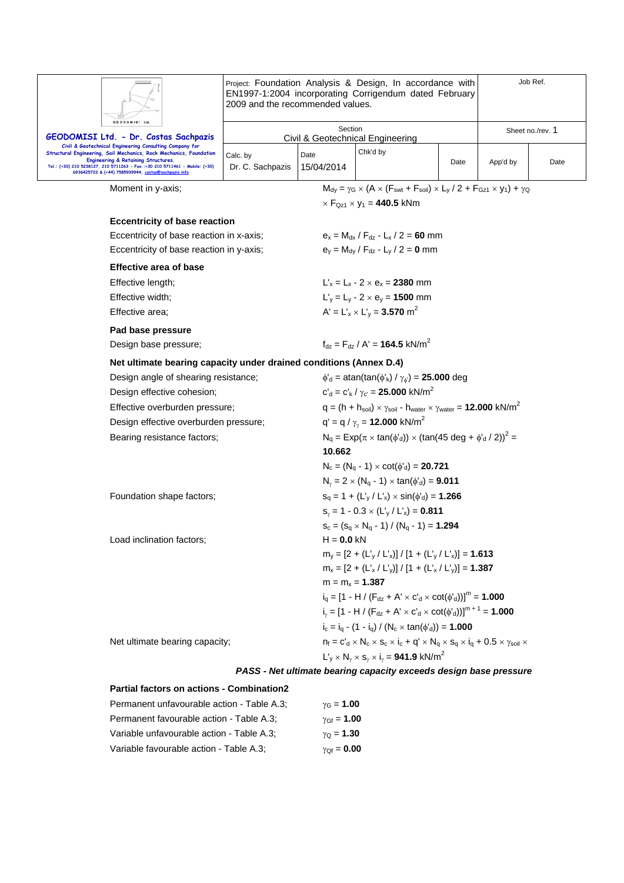|                                                                                                                                                                                          | Project: Foundation Analysis & Design, In accordance with<br>EN1997-1:2004 incorporating Corrigendum dated February<br>2009 and the recommended values. |                                                                                       |                                                                                                                                       |                                                             |                  | Job Ref. |  |  |
|------------------------------------------------------------------------------------------------------------------------------------------------------------------------------------------|---------------------------------------------------------------------------------------------------------------------------------------------------------|---------------------------------------------------------------------------------------|---------------------------------------------------------------------------------------------------------------------------------------|-------------------------------------------------------------|------------------|----------|--|--|
| GEODOMISI Ltd.                                                                                                                                                                           |                                                                                                                                                         | Section                                                                               |                                                                                                                                       |                                                             | Sheet no./rev. 1 |          |  |  |
| GEODOMISI Ltd. - Dr. Costas Sachpazis<br>Civil & Geotechnical Engineering Consulting Company for                                                                                         |                                                                                                                                                         | <b>Civil &amp; Geotechnical Engineering</b>                                           |                                                                                                                                       |                                                             |                  |          |  |  |
| Structural Engineering, Soil Mechanics, Rock Mechanics, Foundation<br>Engineering & Retaining Structures.<br>Tel.: (+30) 210 5238127, 210 5711263 - Fax.:+30 210 5711461 - Mobile: (+30) | Calc. by<br>Dr. C. Sachpazis                                                                                                                            | Date<br>15/04/2014                                                                    | Chk'd by                                                                                                                              | Date                                                        | App'd by         | Date     |  |  |
| 6936425722 & (+44) 7585939944, costas@sachpazis.info                                                                                                                                     |                                                                                                                                                         |                                                                                       |                                                                                                                                       |                                                             |                  |          |  |  |
| Moment in y-axis;                                                                                                                                                                        |                                                                                                                                                         |                                                                                       | $M_{\text{dy}} = \gamma_G \times (A \times (F_{\text{swt}} + F_{\text{soil}}) \times L_y / 2 + F_{\text{Gz1}} \times y_1) + \gamma_Q$ |                                                             |                  |          |  |  |
|                                                                                                                                                                                          |                                                                                                                                                         |                                                                                       | $\times$ F <sub>Qz1</sub> $\times$ y <sub>1</sub> = <b>440.5</b> kNm                                                                  |                                                             |                  |          |  |  |
| <b>Eccentricity of base reaction</b>                                                                                                                                                     |                                                                                                                                                         |                                                                                       |                                                                                                                                       |                                                             |                  |          |  |  |
| Eccentricity of base reaction in x-axis;                                                                                                                                                 |                                                                                                                                                         |                                                                                       | $e_x = M_{dx} / F_{dz} - L_x / 2 = 60$ mm                                                                                             |                                                             |                  |          |  |  |
| Eccentricity of base reaction in y-axis;                                                                                                                                                 |                                                                                                                                                         |                                                                                       | $e_y = M_{dy} / F_{dz} - L_y / 2 = 0$ mm                                                                                              |                                                             |                  |          |  |  |
| <b>Effective area of base</b>                                                                                                                                                            |                                                                                                                                                         |                                                                                       |                                                                                                                                       |                                                             |                  |          |  |  |
| Effective length;                                                                                                                                                                        |                                                                                                                                                         |                                                                                       | $L'_x = L_x - 2 \times e_x = 2380$ mm                                                                                                 |                                                             |                  |          |  |  |
| Effective width;                                                                                                                                                                         |                                                                                                                                                         |                                                                                       | $L'_v = L_v - 2 \times e_v = 1500$ mm                                                                                                 |                                                             |                  |          |  |  |
| Effective area:                                                                                                                                                                          |                                                                                                                                                         |                                                                                       | $A' = L'_{x} \times L'_{y} = 3.570$ m <sup>2</sup>                                                                                    |                                                             |                  |          |  |  |
| Pad base pressure                                                                                                                                                                        |                                                                                                                                                         |                                                                                       |                                                                                                                                       |                                                             |                  |          |  |  |
| Design base pressure;                                                                                                                                                                    |                                                                                                                                                         |                                                                                       |                                                                                                                                       | $f_{\text{dz}} = F_{\text{dz}} / A' = 164.5 \text{ kN/m}^2$ |                  |          |  |  |
| Net ultimate bearing capacity under drained conditions (Annex D.4)                                                                                                                       |                                                                                                                                                         |                                                                                       |                                                                                                                                       |                                                             |                  |          |  |  |
| Design angle of shearing resistance;                                                                                                                                                     |                                                                                                                                                         |                                                                                       | $\phi'_{d}$ = atan(tan( $\phi'_{k}$ ) / $\gamma_{\phi'}$ ) = <b>25.000</b> deg                                                        |                                                             |                  |          |  |  |
| Design effective cohesion;                                                                                                                                                               |                                                                                                                                                         |                                                                                       | $c'_{d} = c'_{k}/\gamma_{c'} = 25.000$ kN/m <sup>2</sup>                                                                              |                                                             |                  |          |  |  |
| Effective overburden pressure;                                                                                                                                                           |                                                                                                                                                         |                                                                                       | $q = (h + h_{\text{soil}}) \times \gamma_{\text{soil}}$ - $h_{\text{water}} \times \gamma_{\text{water}} = 12.000 \text{ kN/m}^2$     |                                                             |                  |          |  |  |
|                                                                                                                                                                                          | Design effective overburden pressure;                                                                                                                   |                                                                                       | $q' = q / \gamma_{\gamma} = 12.000$ kN/m <sup>2</sup>                                                                                 |                                                             |                  |          |  |  |
| Bearing resistance factors;                                                                                                                                                              |                                                                                                                                                         | $N_q = Exp(\pi \times tan(\phi'_d)) \times (tan(45 deg + \phi'_d / 2))^2 =$<br>10.662 |                                                                                                                                       |                                                             |                  |          |  |  |
|                                                                                                                                                                                          |                                                                                                                                                         |                                                                                       | $N_c = (N_q - 1) \times \cot(\phi_d) = 20.721$                                                                                        |                                                             |                  |          |  |  |
|                                                                                                                                                                                          |                                                                                                                                                         |                                                                                       | $N_{\nu} = 2 \times (N_q - 1) \times \tan(\phi'_d) = 9.011$                                                                           |                                                             |                  |          |  |  |
| Foundation shape factors;                                                                                                                                                                |                                                                                                                                                         |                                                                                       | $s_q = 1 + (L'_{y} / L'_{x}) \times \sin(\phi'_{d}) = 1.266$                                                                          |                                                             |                  |          |  |  |
|                                                                                                                                                                                          |                                                                                                                                                         | $S_v = 1 - 0.3 \times (L_v / L_x) = 0.811$                                            |                                                                                                                                       |                                                             |                  |          |  |  |
|                                                                                                                                                                                          |                                                                                                                                                         |                                                                                       | $S_c = (S_q \times N_q - 1) / (N_q - 1) = 1.294$                                                                                      |                                                             |                  |          |  |  |
| Load inclination factors;                                                                                                                                                                |                                                                                                                                                         | $H = 0.0$ kN                                                                          |                                                                                                                                       |                                                             |                  |          |  |  |
|                                                                                                                                                                                          |                                                                                                                                                         |                                                                                       | $m_v = [2 + (L_v / L_x)] / [1 + (L_v / L_x)] = 1.613$                                                                                 |                                                             |                  |          |  |  |
|                                                                                                                                                                                          |                                                                                                                                                         |                                                                                       | $m_x = [2 + (L'_x / L'_y)] / [1 + (L'_x / L'_y)] = 1.387$                                                                             |                                                             |                  |          |  |  |
|                                                                                                                                                                                          |                                                                                                                                                         |                                                                                       | $m = m_x = 1.387$                                                                                                                     |                                                             |                  |          |  |  |
|                                                                                                                                                                                          |                                                                                                                                                         |                                                                                       | $i_q = [1 - H / (F_{dz} + A' \times C'_d \times \cot(\phi'_d))]^m = 1.000$                                                            |                                                             |                  |          |  |  |
|                                                                                                                                                                                          |                                                                                                                                                         |                                                                                       | $i_{y} = [1 - H / (F_{dz} + A' \times c'_{d} \times \cot(\phi'_{d}))]^{m+1} = 1.000$                                                  |                                                             |                  |          |  |  |
|                                                                                                                                                                                          |                                                                                                                                                         |                                                                                       | $i_c = i_a - (1 - i_a) / (N_c \times \tan(\phi'_d)) = 1.000$                                                                          |                                                             |                  |          |  |  |
| Net ultimate bearing capacity;                                                                                                                                                           |                                                                                                                                                         |                                                                                       | $n_f = c'_d \times N_c \times s_c \times i_c + q' \times N_q \times s_q \times i_q + 0.5 \times \gamma_{soil} \times$                 |                                                             |                  |          |  |  |
|                                                                                                                                                                                          |                                                                                                                                                         |                                                                                       | $L'_v \times N_v \times s_v \times i_v = 941.9$ kN/m <sup>2</sup>                                                                     |                                                             |                  |          |  |  |
|                                                                                                                                                                                          |                                                                                                                                                         |                                                                                       | PASS - Net ultimate bearing capacity exceeds design base pressure                                                                     |                                                             |                  |          |  |  |
| <b>Partial factors on actions - Combination2</b>                                                                                                                                         |                                                                                                                                                         |                                                                                       |                                                                                                                                       |                                                             |                  |          |  |  |
| Permanent unfavourable action - Table A.3;                                                                                                                                               |                                                                                                                                                         | $\gamma$ <sub>G</sub> = <b>1.00</b>                                                   |                                                                                                                                       |                                                             |                  |          |  |  |

Permanent favourable action - Table A.3;  $\gamma_{Gf} = 1.00$ Variable unfavourable action - Table A.3;  $\gamma_Q = 1.30$ Variable favourable action - Table A.3;  $\gamma_{Qf} = 0.00$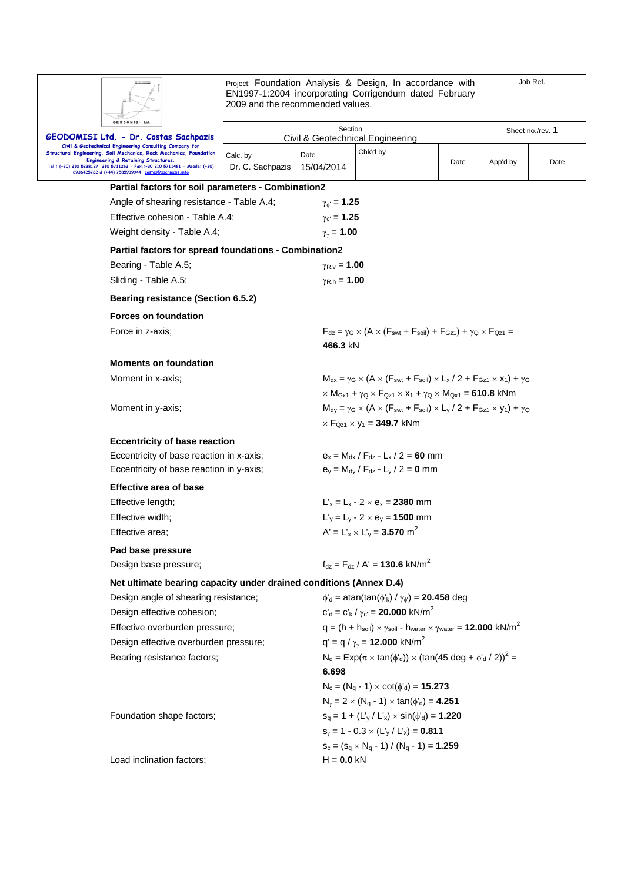| GEODOMISI Ltd                                                                                                                                                              | Project: Foundation Analysis & Design, In accordance with<br>EN1997-1:2004 incorporating Corrigendum dated February<br>2009 and the recommended values. |                           |                                                                                                                                                                          |                  | Job Ref. |      |  |  |
|----------------------------------------------------------------------------------------------------------------------------------------------------------------------------|---------------------------------------------------------------------------------------------------------------------------------------------------------|---------------------------|--------------------------------------------------------------------------------------------------------------------------------------------------------------------------|------------------|----------|------|--|--|
| GEODOMISI Ltd. - Dr. Costas Sachpazis                                                                                                                                      | Section<br>Civil & Geotechnical Engineering                                                                                                             |                           |                                                                                                                                                                          | Sheet no./rev. 1 |          |      |  |  |
| Civil & Geotechnical Engineering Consulting Company for<br>Structural Engineering, Soil Mechanics, Rock Mechanics, Foundation                                              | Calc. by                                                                                                                                                | Date                      | Chk'd by                                                                                                                                                                 |                  |          |      |  |  |
| Engineering & Retaining Structures.<br>Tel.: (+30) 210 5238127, 210 5711263 - Fax.:+30 210 5711461 - Mobile: (+30)<br>6936425722 & (+44) 7585939944, costas@sachpazis.info | Dr. C. Sachpazis                                                                                                                                        | 15/04/2014                |                                                                                                                                                                          | Date             | App'd by | Date |  |  |
| Partial factors for soil parameters - Combination2                                                                                                                         |                                                                                                                                                         |                           |                                                                                                                                                                          |                  |          |      |  |  |
| Angle of shearing resistance - Table A.4;                                                                                                                                  |                                                                                                                                                         | $\gamma_{\phi} = 1.25$    |                                                                                                                                                                          |                  |          |      |  |  |
| Effective cohesion - Table A.4;                                                                                                                                            |                                                                                                                                                         | $\gamma_{c'} = 1.25$      |                                                                                                                                                                          |                  |          |      |  |  |
| Weight density - Table A.4;                                                                                                                                                |                                                                                                                                                         | $\gamma_{v} = 1.00$       |                                                                                                                                                                          |                  |          |      |  |  |
| Partial factors for spread foundations - Combination2                                                                                                                      |                                                                                                                                                         |                           |                                                                                                                                                                          |                  |          |      |  |  |
| Bearing - Table A.5;                                                                                                                                                       |                                                                                                                                                         | $\gamma_{R.v} = 1.00$     |                                                                                                                                                                          |                  |          |      |  |  |
| Sliding - Table A.5;                                                                                                                                                       |                                                                                                                                                         | $\gamma_{\rm R,h} = 1.00$ |                                                                                                                                                                          |                  |          |      |  |  |
| Bearing resistance (Section 6.5.2)                                                                                                                                         |                                                                                                                                                         |                           |                                                                                                                                                                          |                  |          |      |  |  |
| <b>Forces on foundation</b>                                                                                                                                                |                                                                                                                                                         |                           |                                                                                                                                                                          |                  |          |      |  |  |
| Force in z-axis;                                                                                                                                                           |                                                                                                                                                         | 466.3 kN                  | $F_{dz} = \gamma_G \times (A \times (F_{swt} + F_{soil}) + F_{Gz1}) + \gamma_O \times F_{Oz1} =$                                                                         |                  |          |      |  |  |
| <b>Moments on foundation</b>                                                                                                                                               |                                                                                                                                                         |                           |                                                                                                                                                                          |                  |          |      |  |  |
| Moment in x-axis;                                                                                                                                                          |                                                                                                                                                         |                           | $M_{dx} = \gamma_G \times (A \times (F_{swt} + F_{soil}) \times L_x / 2 + F_{Gz1} \times x_1) + \gamma_G$                                                                |                  |          |      |  |  |
|                                                                                                                                                                            |                                                                                                                                                         |                           | $\times$ M <sub>Gx1</sub> + $\gamma$ <sub>Q</sub> $\times$ F <sub>Qz1</sub> $\times$ x <sub>1</sub> + $\gamma$ <sub>Q</sub> $\times$ M <sub>Qx1</sub> = <b>610.8</b> kNm |                  |          |      |  |  |
| Moment in y-axis;                                                                                                                                                          |                                                                                                                                                         |                           | $M_{dy} = \gamma_G \times (A \times (F_{swt} + F_{soil}) \times L_y / 2 + F_{Gz1} \times y_1) + \gamma_Q$                                                                |                  |          |      |  |  |
|                                                                                                                                                                            |                                                                                                                                                         |                           | $\times$ F <sub>Qz1</sub> $\times$ y <sub>1</sub> = <b>349.7</b> kNm                                                                                                     |                  |          |      |  |  |
| <b>Eccentricity of base reaction</b>                                                                                                                                       |                                                                                                                                                         |                           |                                                                                                                                                                          |                  |          |      |  |  |
| Eccentricity of base reaction in x-axis;                                                                                                                                   |                                                                                                                                                         |                           | $e_x = M_{dx} / F_{dz} - L_x / 2 = 60$ mm                                                                                                                                |                  |          |      |  |  |
| Eccentricity of base reaction in y-axis;                                                                                                                                   |                                                                                                                                                         |                           | $e_y = M_{dy} / F_{dz} - L_y / 2 = 0$ mm                                                                                                                                 |                  |          |      |  |  |
| <b>Effective area of base</b>                                                                                                                                              |                                                                                                                                                         |                           |                                                                                                                                                                          |                  |          |      |  |  |
| Effective length;                                                                                                                                                          |                                                                                                                                                         |                           | $L'_x = L_x - 2 \times e_x = 2380$ mm                                                                                                                                    |                  |          |      |  |  |
| Effective width;                                                                                                                                                           |                                                                                                                                                         |                           | $L_v = L_v - 2 \times e_v = 1500$ mm                                                                                                                                     |                  |          |      |  |  |
| Effective area;                                                                                                                                                            |                                                                                                                                                         |                           | $A' = L'_{x} \times L'_{y} = 3.570$ m <sup>2</sup>                                                                                                                       |                  |          |      |  |  |
| Pad base pressure                                                                                                                                                          |                                                                                                                                                         |                           |                                                                                                                                                                          |                  |          |      |  |  |
| Design base pressure;                                                                                                                                                      |                                                                                                                                                         |                           | $f_{dz} = F_{dz} / A' = 130.6$ kN/m <sup>2</sup>                                                                                                                         |                  |          |      |  |  |
| Net ultimate bearing capacity under drained conditions (Annex D.4)                                                                                                         |                                                                                                                                                         |                           |                                                                                                                                                                          |                  |          |      |  |  |
| Design angle of shearing resistance;                                                                                                                                       |                                                                                                                                                         |                           | $\phi'_{d}$ = atan(tan( $\phi'_{k}$ ) / $\gamma_{\phi'}$ ) = <b>20.458</b> deg                                                                                           |                  |          |      |  |  |
| Design effective cohesion;                                                                                                                                                 |                                                                                                                                                         |                           | $c'_{d} = c'_{k}/\gamma_{c'} = 20.000 \text{ kN/m}^{2}$                                                                                                                  |                  |          |      |  |  |
| Effective overburden pressure;                                                                                                                                             |                                                                                                                                                         |                           | $q = (h + h_{\text{soil}}) \times \gamma_{\text{soil}}$ - $h_{\text{water}} \times \gamma_{\text{water}} = 12.000 \text{ kN/m}^2$                                        |                  |          |      |  |  |
| Design effective overburden pressure;                                                                                                                                      |                                                                                                                                                         |                           | $q' = q / \gamma_{\gamma} = 12.000 \text{ kN/m}^2$                                                                                                                       |                  |          |      |  |  |
| Bearing resistance factors;                                                                                                                                                |                                                                                                                                                         | 6.698                     | $N_q = Exp(\pi \times tan(\phi'_d)) \times (tan(45 deg + \phi'_d / 2))^2$                                                                                                |                  |          |      |  |  |
|                                                                                                                                                                            |                                                                                                                                                         |                           | $N_c = (N_q - 1) \times \cot(\phi'_d) = 15.273$                                                                                                                          |                  |          |      |  |  |
|                                                                                                                                                                            |                                                                                                                                                         |                           | $N_{\gamma} = 2 \times (N_q - 1) \times \tan(\phi'_d) = 4.251$                                                                                                           |                  |          |      |  |  |
| Foundation shape factors;                                                                                                                                                  |                                                                                                                                                         |                           | $s_q = 1 + (L'_{y} / L'_{x}) \times \sin(\phi'_{d}) = 1.220$                                                                                                             |                  |          |      |  |  |
|                                                                                                                                                                            |                                                                                                                                                         |                           | $s_y = 1 - 0.3 \times (L'_y / L'_x) = 0.811$                                                                                                                             |                  |          |      |  |  |
|                                                                                                                                                                            |                                                                                                                                                         |                           | $s_c = (s_q \times N_q - 1) / (N_q - 1) = 1.259$                                                                                                                         |                  |          |      |  |  |
| Load inclination factors;                                                                                                                                                  |                                                                                                                                                         | $H = 0.0$ kN              |                                                                                                                                                                          |                  |          |      |  |  |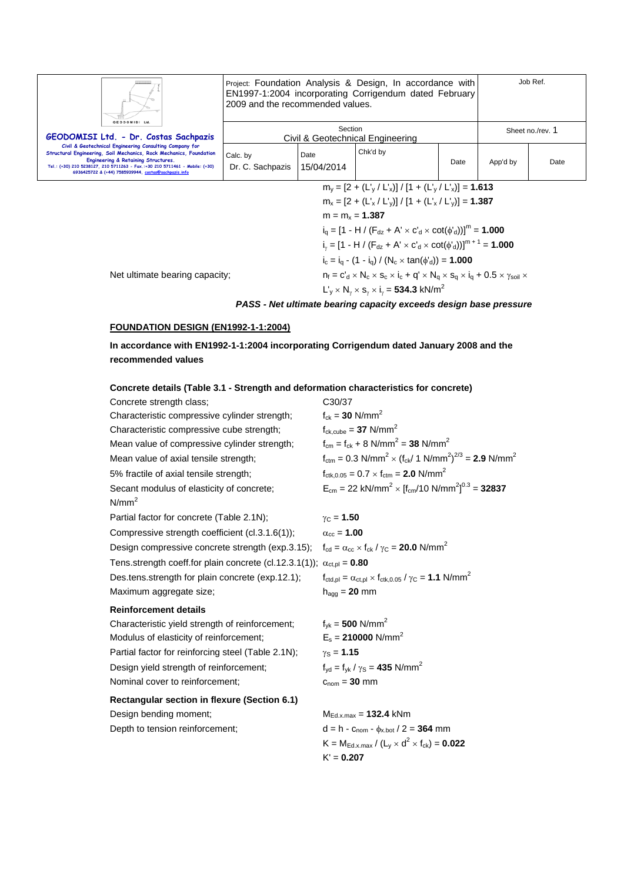|                                                                                                                                                                                                                                                                                                                                                                      | Job Ref.<br>Project: Foundation Analysis & Design, In accordance with<br>EN1997-1:2004 incorporating Corrigendum dated February<br>2009 and the recommended values. |                    |          |      |                  |      |
|----------------------------------------------------------------------------------------------------------------------------------------------------------------------------------------------------------------------------------------------------------------------------------------------------------------------------------------------------------------------|---------------------------------------------------------------------------------------------------------------------------------------------------------------------|--------------------|----------|------|------------------|------|
| GEODOMISI LM<br>GEODOMISI Ltd. - Dr. Costas Sachpazis<br>Civil & Geotechnical Engineering Consulting Company for<br>Structural Engineering, Soil Mechanics, Rock Mechanics, Foundation<br>Engineering & Retaining Structures.<br>Tel.: (+30) 210 5238127, 210 5711263 - Fax.:+30 210 5711461 - Mobile: (+30)<br>6936425722 & (+44) 7585939944, costas@sachpazis.info | Section<br>Civil & Geotechnical Engineering                                                                                                                         |                    |          |      | Sheet no./rev. 1 |      |
|                                                                                                                                                                                                                                                                                                                                                                      | Calc. by<br>Dr. C. Sachpazis                                                                                                                                        | Date<br>15/04/2014 | Chk'd by | Date | App'd by         | Date |
|                                                                                                                                                                                                                                                                                                                                                                      | $m_v = [2 + (L_v / L_x)] / [1 + (L_v / L_x)] = 1.613$                                                                                                               |                    |          |      |                  |      |
|                                                                                                                                                                                                                                                                                                                                                                      | $m_x = [2 + (L'_x / L'_y)] / [1 + (L'_x / L'_y)] = 1.387$                                                                                                           |                    |          |      |                  |      |
|                                                                                                                                                                                                                                                                                                                                                                      | $m = m_x = 1.387$<br>$i_q = [1 - H / (F_{dz} + A' \times C'_d \times \cot(\phi'_d))]^{m} = 1.000$                                                                   |                    |          |      |                  |      |
|                                                                                                                                                                                                                                                                                                                                                                      |                                                                                                                                                                     |                    |          |      |                  |      |

Net ultimate bearing capacity;  $n_f = c'_d \times N_c \times s_c \times i_c + q' \times N_q \times s_q \times i_q + 0.5 \times \gamma_{soli} \times$ 

 $L'_y \times N_\gamma \times s_\gamma \times i_\gamma = 534.3 \text{ kN/m}^2$ 

### *PASS - Net ultimate bearing capacity exceeds design base pressure*

 $i_c = i_q - (1 - i_q) / (N_c \times \tan(\phi_d)) = 1.000$ 

 $i_y = [1 - H / (F_{dz} + A' \times c'_d \times \cot(\phi'_d))]^{m+1} = 1.000$ 

## **FOUNDATION DESIGN (EN1992-1-1:2004)**

**In accordance with EN1992-1-1:2004 incorporating Corrigendum dated January 2008 and the recommended values** 

| Concrete details (Table 3.1 - Strength and deformation characteristics for concrete)                                 |                                                                                                                 |
|----------------------------------------------------------------------------------------------------------------------|-----------------------------------------------------------------------------------------------------------------|
| Concrete strength class;                                                                                             | C30/37                                                                                                          |
| Characteristic compressive cylinder strength;                                                                        | $f_{ck} = 30$ N/mm <sup>2</sup>                                                                                 |
| Characteristic compressive cube strength;                                                                            | $f_{\text{ck,cube}} = 37 \text{ N/mm}^2$                                                                        |
| Mean value of compressive cylinder strength;                                                                         | $f_{cm} = f_{ck} + 8 \text{ N/mm}^2 = 38 \text{ N/mm}^2$                                                        |
| Mean value of axial tensile strength;                                                                                | $f_{\text{ctm}} = 0.3 \text{ N/mm}^2 \times (f_{\text{ck}}/ 1 \text{ N/mm}^2)^{2/3} = 2.9 \text{ N/mm}^2$       |
| 5% fractile of axial tensile strength;                                                                               | $f_{\text{ctk.0.05}} = 0.7 \times f_{\text{ctm}} = 2.0 \text{ N/mm}^2$                                          |
| Secant modulus of elasticity of concrete;                                                                            | $E_{cm}$ = 22 kN/mm <sup>2</sup> × [f <sub>cm</sub> /10 N/mm <sup>2</sup> ] <sup>0.3</sup> = <b>32837</b>       |
| N/mm <sup>2</sup>                                                                                                    |                                                                                                                 |
| Partial factor for concrete (Table 2.1N);                                                                            | $\gamma_{C} = 1.50$                                                                                             |
| Compressive strength coefficient (cl.3.1.6(1));                                                                      | $\alpha_{\rm cc} = 1.00$                                                                                        |
| Design compressive concrete strength (exp.3.15); $f_{cd} = \alpha_{cc} \times f_{ck}/\gamma_c = 20.0 \text{ N/mm}^2$ |                                                                                                                 |
| Tens.strength coeff.for plain concrete (cl.12.3.1(1)); $\alpha_{\text{ct,pl}} = 0.80$                                |                                                                                                                 |
| Des.tens.strength for plain concrete (exp.12.1);                                                                     | $f_{\text{ctd,pl}} = \alpha_{\text{ct,pl}} \times f_{\text{ctk,0.05}} / \gamma_{\text{C}} = 1.1 \text{ N/mm}^2$ |
| Maximum aggregate size;                                                                                              | $h_{agg} = 20$ mm                                                                                               |
| <b>Reinforcement details</b>                                                                                         |                                                                                                                 |
| Characteristic yield strength of reinforcement;                                                                      | $f_{vk} = 500$ N/mm <sup>2</sup>                                                                                |
| Modulus of elasticity of reinforcement;                                                                              | $E_s = 210000 \text{ N/mm}^2$                                                                                   |
| Partial factor for reinforcing steel (Table 2.1N);                                                                   | $\gamma_{\rm S} = 1.15$                                                                                         |
| Design yield strength of reinforcement;                                                                              | $f_{\text{yd}} = f_{\text{yk}} / \gamma_{\text{S}} = 435 \text{ N/mm}^2$                                        |
| Nominal cover to reinforcement;                                                                                      | $c_{nom} = 30$ mm                                                                                               |
| Rectangular section in flexure (Section 6.1)                                                                         |                                                                                                                 |
| Design bending moment;                                                                                               | $M_{Ed.x,max} = 132.4$ kNm                                                                                      |
| Depth to tension reinforcement;                                                                                      | $d = h - C_{\text{nom}} - \phi_{x, bot} / 2 = 364$ mm                                                           |
|                                                                                                                      | $K = M_{Ed.x, max} / (L_v \times d^2 \times f_{ck}) = 0.022$                                                    |
|                                                                                                                      | $K' = 0.207$                                                                                                    |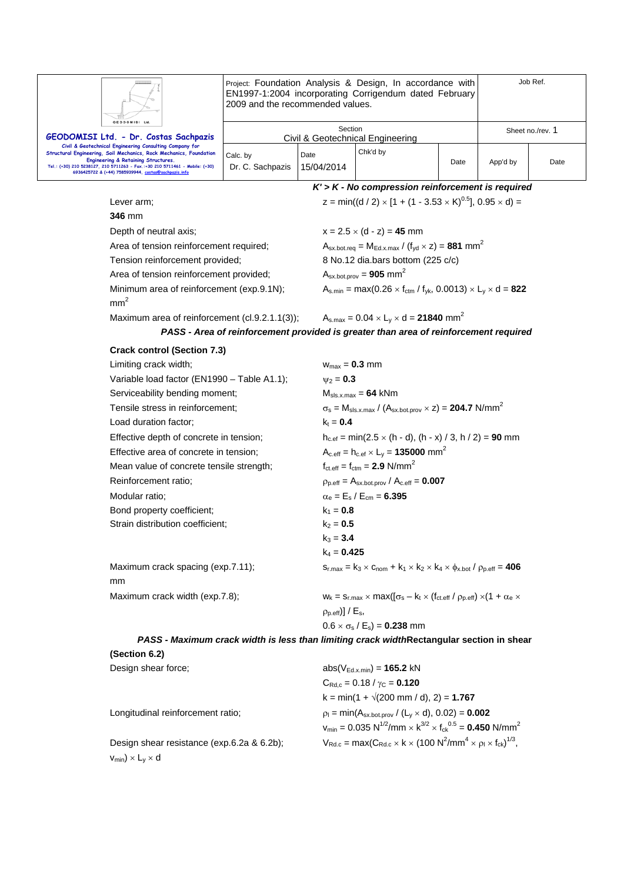

Project: Foundation Analysis & Design, In accordance with EN1997-1:2004 incorporating Corrigendum dated February 2009 and the recommended values.

Job Ref.

| GEODOMISI Ltd.<br>GEODOMISI Ltd. - Dr. Costas Sachpazis                                                                                                                                                                                                                                                     |                              | Section            | Civil & Geotechnical Engineering |      |          | Sheet no./rev. 1 |
|-------------------------------------------------------------------------------------------------------------------------------------------------------------------------------------------------------------------------------------------------------------------------------------------------------------|------------------------------|--------------------|----------------------------------|------|----------|------------------|
| Civil & Geotechnical Engineering Consulting Company for<br>Structural Engineering, Soil Mechanics, Rock Mechanics, Foundation<br>Engineering & Retaining Structures.<br>Tel.: (+30) 210 5238127, 210 5711263 - Fax.:+30 210 5711461 - Mobile: (+30)<br>6936425722 & (+44) 7585939944, costas@sachpazis.info | Calc. by<br>Dr. C. Sachpazis | Date<br>15/04/2014 | Chk'd by                         | Date | App'd by | Date             |

*K' > K - No compression reinforcement is required*  Lever arm;  $z = min((d / 2) \times [1 + (1 - 3.53 \times K)^{0.5}], 0.95 \times d) =$ **346** mm Depth of neutral axis;  $x = 2.5 \times (d - z) = 45$  mm Area of tension reinforcement required;  $A_{sx,bot,req} = M_{Ed.x,max} / (f_{yd} \times z) = 881$  mm<sup>2</sup> Tension reinforcement provided; 8 No.12 dia.bars bottom (225 c/c) Area of tension reinforcement provided;  $A_{sx. bot.prov} = 905$  mm<sup>2</sup> Minimum area of reinforcement (exp.9.1N);  $A_{s,min} = max(0.26 \times f_{ctm} / f_{yk}, 0.0013) \times L_y \times d = 822$  $mm<sup>2</sup>$ Maximum area of reinforcement (cl.9.2.1.1(3));  $A_{s,max} = 0.04 \times L_y \times d = 21840$  mm<sup>2</sup>

|  |  |  |  |  |  | PASS - Area of reinforcement provided is greater than area of reinforcement required |  |
|--|--|--|--|--|--|--------------------------------------------------------------------------------------|--|
|--|--|--|--|--|--|--------------------------------------------------------------------------------------|--|

| <b>Crack control (Section 7.3)</b>          |                                                                                                               |
|---------------------------------------------|---------------------------------------------------------------------------------------------------------------|
| Limiting crack width;                       | $W_{\text{max}} = 0.3$ mm                                                                                     |
| Variable load factor (EN1990 - Table A1.1); | $v_2 = 0.3$                                                                                                   |
| Serviceability bending moment;              | $M_{sls.x,max} = 64$ kNm                                                                                      |
| Tensile stress in reinforcement;            | $\sigma_s$ = M <sub>sls.x.max</sub> / (A <sub>sx.bot.prov</sub> $\times$ z) = <b>204.7</b> N/mm <sup>2</sup>  |
| Load duration factor;                       | $k_t = 0.4$                                                                                                   |
| Effective depth of concrete in tension;     | $h_{c,ef} = min(2.5 \times (h - d), (h - x) / 3, h / 2) = 90$ mm                                              |
| Effective area of concrete in tension;      | $A_{c.eff} = h_{c.ef} \times L_v = 135000$ mm <sup>2</sup>                                                    |
| Mean value of concrete tensile strength;    | $f_{\text{ct.eff}} = f_{\text{ctm}} = 2.9 \text{ N/mm}^2$                                                     |
| Reinforcement ratio:                        | $p_{p,eff} = A_{sx,bot,prov} / A_{c,eff} = 0.007$                                                             |
| Modular ratio:                              | $\alpha_e = E_s / E_{cm} = 6.395$                                                                             |
| Bond property coefficient;                  | $k_1 = 0.8$                                                                                                   |
| Strain distribution coefficient;            | $k_2 = 0.5$                                                                                                   |
|                                             | $k_3 = 3.4$                                                                                                   |
|                                             | $k_4 = 0.425$                                                                                                 |
| Maximum crack spacing (exp.7.11);           | $S_{r,max} = k_3 \times C_{nom} + k_1 \times k_2 \times k_4 \times \phi_{x,bot} / \rho_{p,eff} = 406$         |
| mm                                          |                                                                                                               |
| Maximum crack width (exp.7.8);              | $W_k = S_{r, max} \times max(\sigma_s - k_t \times (f_{ct, eff} / \rho_{p, eff}) \times (1 + \alpha_e \times$ |
|                                             | $\rho_{\text{p.eff}}$ )] / $E_{\text{s}}$ ,                                                                   |

*PASS - Maximum crack width is less than limiting crack width***Rectangular section in shear** 

 $0.6 \times \sigma_s / E_s$  = **0.238** mm

#### **(Section 6.2)**

| Design shear force;                            | $abs(V_{Ed.x,min}) = 165.2$ kN                                                                                                    |
|------------------------------------------------|-----------------------------------------------------------------------------------------------------------------------------------|
|                                                | $C_{\text{Rd.c}} = 0.18 / \gamma_C = 0.120$                                                                                       |
|                                                | $k = min(1 + \sqrt{200 \text{ mm}/ d})$ , 2) = 1.767                                                                              |
| Longitudinal reinforcement ratio;              | $p_1 = min(A_{sx,bot.prov} / (L_v \times d), 0.02) = 0.002$                                                                       |
|                                                | $v_{\text{min}} = 0.035 \text{ N}^{1/2}/\text{mm} \times \text{K}^{3/2} \times \text{f}_{\text{ck}}^{0.5} = 0.450 \text{ N/mm}^2$ |
| Design shear resistance (exp.6.2a & 6.2b);     | $V_{\text{Rd.c}} = \max(C_{\text{Rd.c}} \times k \times (100 \text{ N}^2/\text{mm}^4 \times \rho_1 \times f_{\text{ck}})^{1/3},$  |
| $v_{min}$ ) $\times$ L <sub>v</sub> $\times$ d |                                                                                                                                   |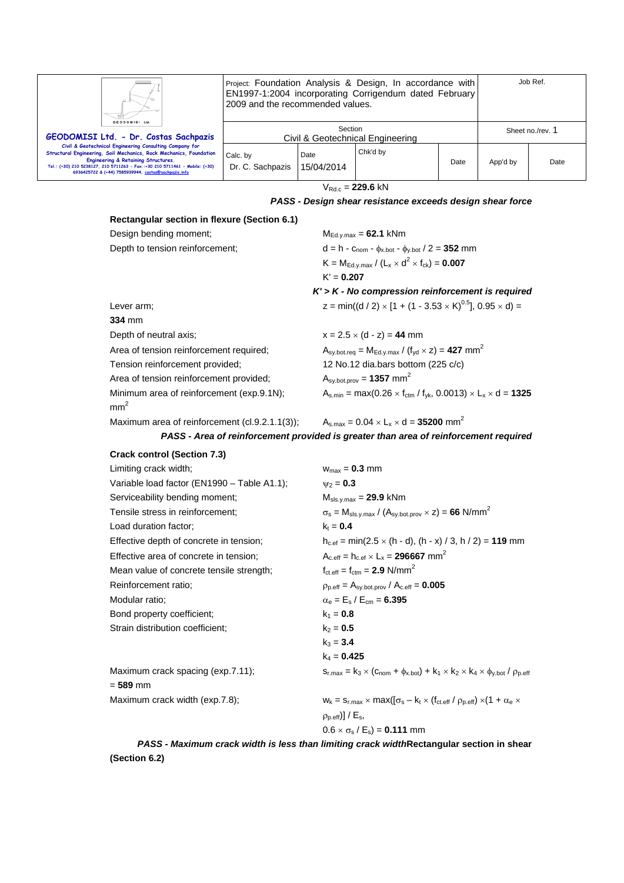| н.                                                                                                                                                                                                                                                                                                          | Project: Foundation Analysis & Design, In accordance with<br>EN1997-1:2004 incorporating Corrigendum dated February<br>2009 and the recommended values. |                    |          |      | Job Ref.         |      |
|-------------------------------------------------------------------------------------------------------------------------------------------------------------------------------------------------------------------------------------------------------------------------------------------------------------|---------------------------------------------------------------------------------------------------------------------------------------------------------|--------------------|----------|------|------------------|------|
| GEODOMISI Ltd.<br>GEODOMISI Ltd. - Dr. Costas Sachpazis                                                                                                                                                                                                                                                     | Section<br>Civil & Geotechnical Engineering                                                                                                             |                    |          |      | Sheet no./rev. 1 |      |
| Civil & Geotechnical Engineering Consulting Company for<br>Structural Engineering, Soil Mechanics, Rock Mechanics, Foundation<br>Engineering & Retaining Structures.<br>Tel.: (+30) 210 5238127, 210 5711263 - Fax.:+30 210 5711461 - Mobile: (+30)<br>6936425722 & (+44) 7585939944, costas@sachpazis.info | Calc. by<br>Dr. C. Sachpazis                                                                                                                            | Date<br>15/04/2014 | Chk'd by | Date | App'd by         | Date |

 $V_{Rd.c} = 229.6$  kN

#### *PASS - Design shear resistance exceeds design shear force*

## **Rectangular section in flexure (Section 6.1)**  Design bending moment; M<sub>Ed.y.max</sub> = 62.1 kNm Depth to tension reinforcement;  $d = h - c_{\text{nom}} - \phi_{x, \text{bot}} - \phi_{y, \text{bot}} / 2 = 352 \text{ mm}$  $K = M_{Ed.v.max} / (L_x \times d^2 \times f_{ck}) = 0.007$  K' = **0.207** *K' > K - No compression reinforcement is required*  Lever arm;  $z = min((d/2) \times [1 + (1 - 3.53 \times K)^{0.5}], 0.95 \times d) =$ **334** mm Depth of neutral axis;  $x = 2.5 \times (d - z) = 44$  mm Area of tension reinforcement required;  $A_{sy.bot,req} = M_{Ed,y.max} / (f_{yd} \times z) = 427 mm<sup>2</sup>$ Tension reinforcement provided; 12 No.12 dia.bars bottom (225 c/c) Area of tension reinforcement provided;  $A_{sy.bot,prov} = 1357$  mm<sup>2</sup> Minimum area of reinforcement (exp.9.1N);  $A_{s,min} = max(0.26 \times f_{ctrm} / f_{yk}, 0.0013) \times L_x \times d = 1325$  $mm<sup>2</sup>$

Maximum area of reinforcement (cl.9.2.1.1(3));  $A_{s,max} = 0.04 \times L_x \times d = 35200$  mm<sup>2</sup>

*PASS - Area of reinforcement provided is greater than area of reinforcement required* 

#### **Crack control (Section 7.3)**

| Limiting crack width;                       | $w_{max} = 0.3$ mm                                                                                                                      |
|---------------------------------------------|-----------------------------------------------------------------------------------------------------------------------------------------|
| Variable load factor (EN1990 - Table A1.1); | $\nu_2 = 0.3$                                                                                                                           |
| Serviceability bending moment;              | $M_{\text{sls.y.max}} = 29.9 \text{ kNm}$                                                                                               |
| Tensile stress in reinforcement;            | $\sigma_s$ = M <sub>sls.y.max</sub> / (A <sub>sy.bot.prov</sub> $\times$ z) = 66 N/mm <sup>2</sup>                                      |
| Load duration factor;                       | $k_t = 0.4$                                                                                                                             |
| Effective depth of concrete in tension;     | $h_{c,ef} = min(2.5 \times (h - d), (h - x) / 3, h / 2) = 119$ mm                                                                       |
| Effective area of concrete in tension;      | $A_{c,eff} = h_{c,ef} \times L_x = 296667$ mm <sup>2</sup>                                                                              |
| Mean value of concrete tensile strength;    | $f_{\text{ct.eff}} = f_{\text{ctm}} = 2.9 \text{ N/mm}^2$                                                                               |
| Reinforcement ratio;                        | $\rho_{p.eff} = A_{sy.bot,prov} / A_{c.eff} = 0.005$                                                                                    |
| Modular ratio:                              | $\alpha_e = E_s / E_{cm} = 6.395$                                                                                                       |
| Bond property coefficient;                  | $k_1 = 0.8$                                                                                                                             |
| Strain distribution coefficient;            | $k_2 = 0.5$                                                                                                                             |
|                                             | $k_3 = 3.4$                                                                                                                             |
|                                             | $k_4 = 0.425$                                                                                                                           |
| Maximum crack spacing (exp.7.11);           | $S_{r, max} = k_3 \times (C_{nom} + \phi_{x, bot}) + k_1 \times k_2 \times k_4 \times \phi_{y, bot} / \rho_{p,eff}$                     |
| $= 589$ mm                                  |                                                                                                                                         |
| Maximum crack width (exp.7.8);              | $w_k = s_{r,\text{max}} \times \text{max}([\sigma_s - k_t \times (f_{\text{ct.eff}} / \rho_{p,\text{eff}}) \times (1 + \alpha_e \times$ |
|                                             | $(\rho_{p.eff})$ ] / $E_s$ ,                                                                                                            |
|                                             | $0.6 \times \sigma_s / E_s$ = 0.111 mm                                                                                                  |
|                                             |                                                                                                                                         |

*PASS - Maximum crack width is less than limiting crack width***Rectangular section in shear (Section 6.2)**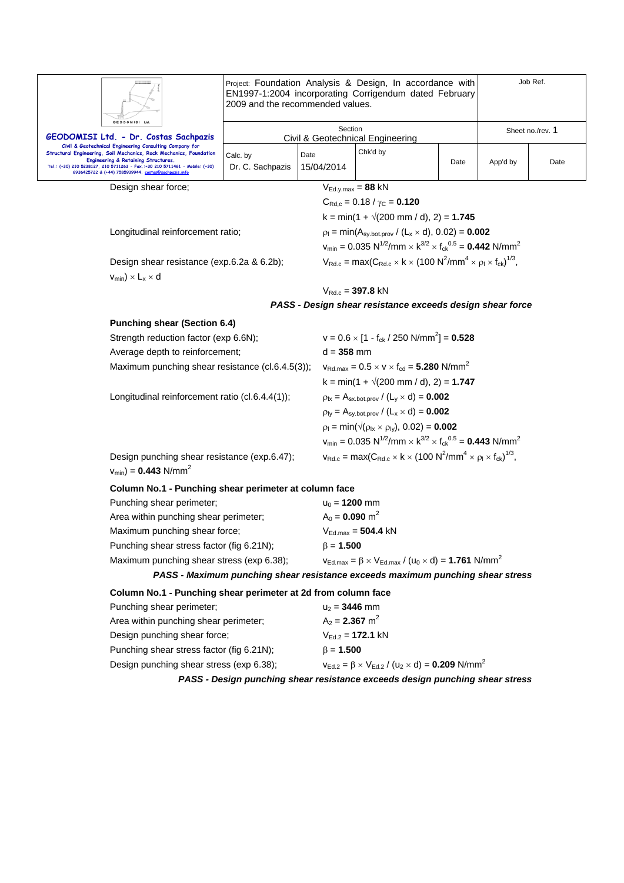|                                                                                                                                                                                                                                                                                                             | Project: Foundation Analysis & Design, In accordance with<br>EN1997-1:2004 incorporating Corrigendum dated February<br>2009 and the recommended values. |                    |                                                                                                                                                                                                   |      | Job Ref.         |      |  |  |
|-------------------------------------------------------------------------------------------------------------------------------------------------------------------------------------------------------------------------------------------------------------------------------------------------------------|---------------------------------------------------------------------------------------------------------------------------------------------------------|--------------------|---------------------------------------------------------------------------------------------------------------------------------------------------------------------------------------------------|------|------------------|------|--|--|
| GEODOMISI Ltd<br>GEODOMISI Ltd. - Dr. Costas Sachpazis                                                                                                                                                                                                                                                      | Section<br><b>Civil &amp; Geotechnical Engineering</b>                                                                                                  |                    |                                                                                                                                                                                                   |      | Sheet no./rev. 1 |      |  |  |
| Civil & Geotechnical Engineering Consulting Company for<br>Structural Engineering, Soil Mechanics, Rock Mechanics, Foundation<br>Engineering & Retaining Structures.<br>Tel.: (+30) 210 5238127, 210 5711263 - Fax.:+30 210 5711461 - Mobile: (+30)<br>6936425722 & (+44) 7585939944, costas@sachpazis.info | Calc. by<br>Dr. C. Sachpazis                                                                                                                            | Date<br>15/04/2014 | Chk'd by                                                                                                                                                                                          | Date | App'd by         | Date |  |  |
| Design shear force:                                                                                                                                                                                                                                                                                         | $V_{Ed.y.max} = 88$ kN                                                                                                                                  |                    |                                                                                                                                                                                                   |      |                  |      |  |  |
|                                                                                                                                                                                                                                                                                                             |                                                                                                                                                         |                    | $C_{\text{Rd},c} = 0.18 / \gamma_C = 0.120$                                                                                                                                                       |      |                  |      |  |  |
|                                                                                                                                                                                                                                                                                                             |                                                                                                                                                         |                    | $k = min(1 + \sqrt{200 \text{ mm}/ d})$ , 2) = 1.745                                                                                                                                              |      |                  |      |  |  |
| Longitudinal reinforcement ratio;                                                                                                                                                                                                                                                                           |                                                                                                                                                         |                    | $p_1 = min(A_{sy, bot,prov}/(L_x \times d), 0.02) = 0.002$<br>$v_{\text{min}} = 0.035 \text{ N}^{1/2}/\text{mm} \times \text{ k}^{3/2} \times \text{ f}_{\text{ck}}^{0.5} = 0.442 \text{ N/mm}^2$ |      |                  |      |  |  |
| Design shear resistance (exp.6.2a & 6.2b);<br>$V_{min}$ ) $\times$ L <sub>x</sub> $\times$ d                                                                                                                                                                                                                |                                                                                                                                                         |                    | $V_{\text{Rd.c}} = \max(C_{\text{Rd.c}} \times k \times (100 \text{ N}^2/\text{mm}^4 \times \rho_l \times f_{\text{ck}})^{1/3},$                                                                  |      |                  |      |  |  |
|                                                                                                                                                                                                                                                                                                             | $V_{Rd.c} = 397.8$ kN                                                                                                                                   |                    |                                                                                                                                                                                                   |      |                  |      |  |  |
|                                                                                                                                                                                                                                                                                                             |                                                                                                                                                         |                    | PASS - Design shear resistance exceeds design shear force                                                                                                                                         |      |                  |      |  |  |
| <b>Punching shear (Section 6.4)</b>                                                                                                                                                                                                                                                                         |                                                                                                                                                         |                    |                                                                                                                                                                                                   |      |                  |      |  |  |
| Strength reduction factor (exp 6.6N);                                                                                                                                                                                                                                                                       |                                                                                                                                                         |                    | $v = 0.6 \times [1 - f_{ck} / 250 \text{ N/mm}^2] = 0.528$                                                                                                                                        |      |                  |      |  |  |
| Average depth to reinforcement;                                                                                                                                                                                                                                                                             |                                                                                                                                                         |                    | $d = 358$ mm                                                                                                                                                                                      |      |                  |      |  |  |
| Maximum punching shear resistance (cl.6.4.5(3));                                                                                                                                                                                                                                                            |                                                                                                                                                         |                    | $v_{\text{Rd,max}} = 0.5 \times v \times f_{\text{cd}} = 5.280 \text{ N/mm}^2$                                                                                                                    |      |                  |      |  |  |
|                                                                                                                                                                                                                                                                                                             |                                                                                                                                                         |                    | $k = min(1 + \sqrt{200 \text{ mm}/ d})$ , 2) = 1.747                                                                                                                                              |      |                  |      |  |  |
| Longitudinal reinforcement ratio (cl.6.4.4(1));                                                                                                                                                                                                                                                             |                                                                                                                                                         |                    | $p_{1x} = A_{sx.bot,prov} / (L_y \times d) = 0.002$                                                                                                                                               |      |                  |      |  |  |
|                                                                                                                                                                                                                                                                                                             |                                                                                                                                                         |                    | $p_{iy} = A_{sy.bot,prov} / (L_x \times d) = 0.002$                                                                                                                                               |      |                  |      |  |  |
|                                                                                                                                                                                                                                                                                                             |                                                                                                                                                         |                    | $p_1 = min(\sqrt{(p_{1x} \times p_{1y})}, 0.02) = 0.002$                                                                                                                                          |      |                  |      |  |  |
|                                                                                                                                                                                                                                                                                                             |                                                                                                                                                         |                    | $v_{min} = 0.035 \text{ N}^{1/2}/\text{mm} \times \text{k}^{3/2} \times \text{f}_{\text{ck}}^{0.5} = 0.443 \text{ N/mm}^2$                                                                        |      |                  |      |  |  |
| Design punching shear resistance (exp.6.47);<br>$v_{min}$ ) = 0.443 N/mm <sup>2</sup>                                                                                                                                                                                                                       |                                                                                                                                                         |                    | $v_{\text{Rd.c}} = \max(C_{\text{Rd.c}} \times k \times (100 \text{ N}^2/\text{mm}^4 \times \rho_1 \times f_{\text{ck}})^{1/3},$                                                                  |      |                  |      |  |  |
| Column No.1 - Punching shear perimeter at column face                                                                                                                                                                                                                                                       |                                                                                                                                                         |                    |                                                                                                                                                                                                   |      |                  |      |  |  |
| Punching shear perimeter;                                                                                                                                                                                                                                                                                   |                                                                                                                                                         |                    | $u_0 = 1200$ mm                                                                                                                                                                                   |      |                  |      |  |  |
| Area within punching shear perimeter;                                                                                                                                                                                                                                                                       |                                                                                                                                                         |                    | $A_0 = 0.090$ m <sup>2</sup>                                                                                                                                                                      |      |                  |      |  |  |
| Maximum punching shear force;                                                                                                                                                                                                                                                                               |                                                                                                                                                         |                    | $V_{\text{Ed.max}} = 504.4 \text{ kN}$                                                                                                                                                            |      |                  |      |  |  |
| Punching shear stress factor (fig 6.21N);                                                                                                                                                                                                                                                                   |                                                                                                                                                         |                    | $\beta = 1.500$                                                                                                                                                                                   |      |                  |      |  |  |
| Maximum punching shear stress (exp 6.38);<br>$V_{\rm Ed,max} = \beta \times V_{\rm Ed,max} / (u_0 \times d) = 1.761$ N/mm <sup>2</sup>                                                                                                                                                                      |                                                                                                                                                         |                    |                                                                                                                                                                                                   |      |                  |      |  |  |
|                                                                                                                                                                                                                                                                                                             |                                                                                                                                                         |                    | PASS - Maximum punching shear resistance exceeds maximum punching shear stress                                                                                                                    |      |                  |      |  |  |
| Column No.1 - Punching shear perimeter at 2d from column face                                                                                                                                                                                                                                               |                                                                                                                                                         |                    |                                                                                                                                                                                                   |      |                  |      |  |  |
| Punching shear perimeter;                                                                                                                                                                                                                                                                                   |                                                                                                                                                         | $u_2 = 3446$ mm    |                                                                                                                                                                                                   |      |                  |      |  |  |
| Area within punching shear perimeter;                                                                                                                                                                                                                                                                       |                                                                                                                                                         |                    | $A_2 = 2.367$ m <sup>2</sup>                                                                                                                                                                      |      |                  |      |  |  |
| Design punching shear force;<br>Punching shear stress factor (fig 6.21N);                                                                                                                                                                                                                                   |                                                                                                                                                         |                    | $V_{Ed.2} = 172.1$ kN                                                                                                                                                                             |      |                  |      |  |  |
|                                                                                                                                                                                                                                                                                                             |                                                                                                                                                         |                    | $\beta = 1.500$                                                                                                                                                                                   |      |                  |      |  |  |
| Design punching shear stress (exp 6.38);                                                                                                                                                                                                                                                                    |                                                                                                                                                         |                    | $v_{\text{Ed.2}} = \beta \times V_{\text{Ed.2}} / (u_2 \times d) = 0.209 \text{ N/mm}^2$                                                                                                          |      |                  |      |  |  |

*PASS - Design punching shear resistance exceeds design punching shear stress*